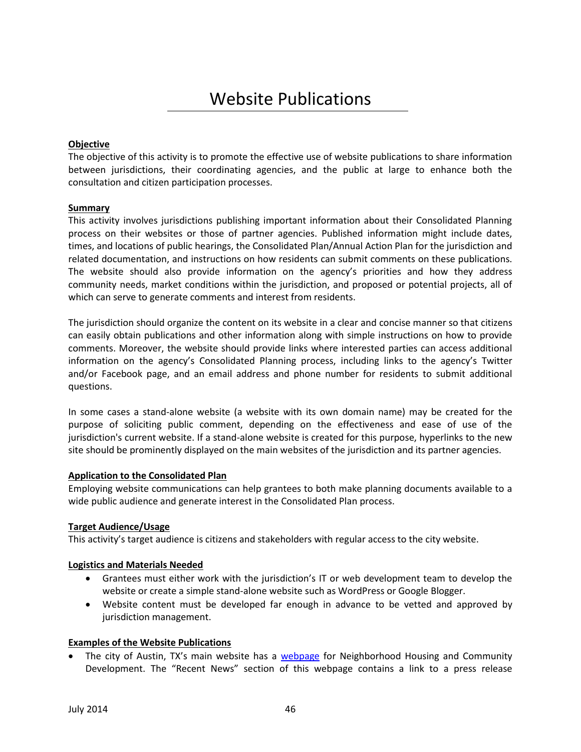# Website Publications

## **Objective**

The objective of this activity is to promote the effective use of website publications to share information between jurisdictions, their coordinating agencies, and the public at large to enhance both the consultation and citizen participation processes.

### **Summary**

This activity involves jurisdictions publishing important information about their Consolidated Planning process on their websites or those of partner agencies. Published information might include dates, times, and locations of public hearings, the Consolidated Plan/Annual Action Plan for the jurisdiction and related documentation, and instructions on how residents can submit comments on these publications. The website should also provide information on the agency's priorities and how they address community needs, market conditions within the jurisdiction, and proposed or potential projects, all of which can serve to generate comments and interest from residents.

The jurisdiction should organize the content on its website in a clear and concise manner so that citizens can easily obtain publications and other information along with simple instructions on how to provide comments. Moreover, the website should provide links where interested parties can access additional information on the agency's Consolidated Planning process, including links to the agency's Twitter and/or Facebook page, and an email address and phone number for residents to submit additional questions.

In some cases a stand-alone website (a website with its own domain name) may be created for the purpose of soliciting public comment, depending on the effectiveness and ease of use of the jurisdiction's current website. If a stand-alone website is created for this purpose, hyperlinks to the new site should be prominently displayed on the main websites of the jurisdiction and its partner agencies.

#### **Application to the Consolidated Plan**

Employing website communications can help grantees to both make planning documents available to a wide public audience and generate interest in the Consolidated Plan process.

#### **Target Audience/Usage**

This activity's target audience is citizens and stakeholders with regular access to the city website.

## **Logistics and Materials Needed**

- Grantees must either work with the jurisdiction's IT or web development team to develop the website or create a simple stand-alone website such as WordPress or Google Blogger.
- Website content must be developed far enough in advance to be vetted and approved by jurisdiction management.

## **Examples of the Website Publications**

The city of Austin, TX's main website has a [webpage](http://www.austintexas.gov/department/housing) for Neighborhood Housing and Community Development. The "Recent News" section of this webpage contains a link to a press release